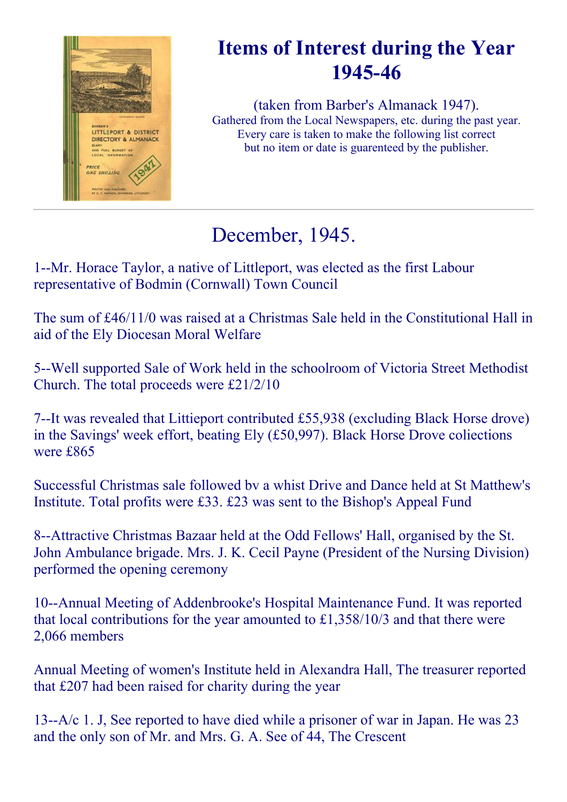

### Items of Interest during the Year 194546

(taken from Barber's Almanack 1947). Gathered from the Local Newspapers, etc. during the past year. Every care is taken to make the following list correct but no item or date is guarenteed by the publisher.

# December, 1945.

1--Mr. Horace Taylor, a native of Littleport, was elected as the first Labour representative of Bodmin (Cornwall) Town Council

The sum of £46/11/0 was raised at a Christmas Sale held in the Constitutional Hall in aid of the Ely Diocesan Moral Welfare

5--Well supported Sale of Work held in the schoolroom of Victoria Street Methodist Church. The total proceeds were £21/2/10

7--It was revealed that Littieport contributed £55,938 (excluding Black Horse drove) in the Savings' week effort, beating Ely (£50,997). Black Horse Drove coliections were £865

Successful Christmas sale followed bv a whist Drive and Dance held at St Matthew's Institute. Total profits were £33. £23 was sent to the Bishop's Appeal Fund

8--Attractive Christmas Bazaar held at the Odd Fellows' Hall, organised by the St. John Ambulance brigade. Mrs. J. K. Cecil Payne (President of the Nursing Division) performed the opening ceremony

10--Annual Meeting of Addenbrooke's Hospital Maintenance Fund. It was reported that local contributions for the year amounted to £1,358/10/3 and that there were 2,066 members

Annual Meeting of women's Institute held in Alexandra Hall, The treasurer reported that £207 had been raised for charity during the year

13-- $A/c$  1. J, See reported to have died while a prisoner of war in Japan. He was 23 and the only son of Mr. and Mrs. G. A. See of 44, The Crescent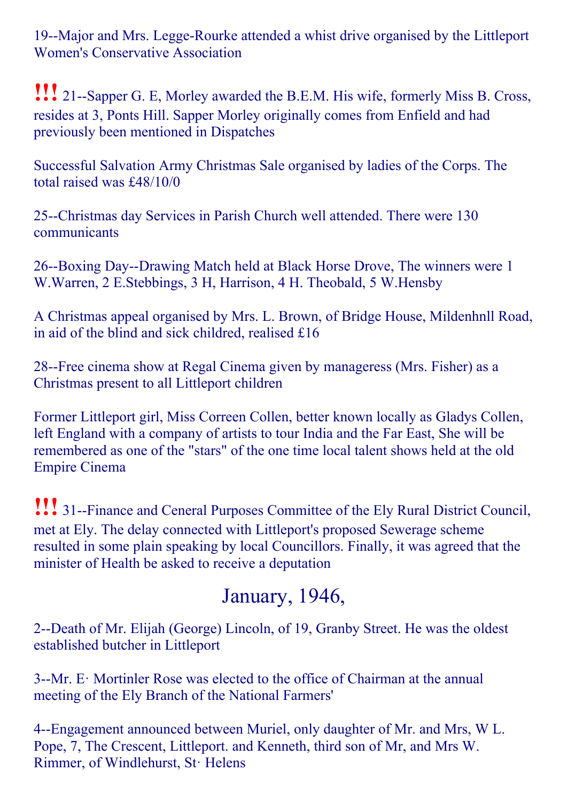19--Major and Mrs. Legge-Rourke attended a whist drive organised by the Littleport Women's Conservative Association

**!!!** 21--Sapper G. E, Morley awarded the B.E.M. His wife, formerly Miss B. Cross, resides at 3, Ponts Hill. Sapper Morley originally comes from Enfield and had previously been mentioned in Dispatches

Successful Salvation Army Christmas Sale organised by ladies of the Corps. The total raised was £48/10/0

25--Christmas day Services in Parish Church well attended. There were 130 communicants

26--Boxing Day--Drawing Match held at Black Horse Drove, The winners were 1 W.Warren, 2 E.Stebbings, 3 H, Harrison, 4 H. Theobald, 5 W.Hensby

A Christmas appeal organised by Mrs. L. Brown, of Bridge House, Mildenhnll Road, in aid of the blind and sick childred, realised £16

28--Free cinema show at Regal Cinema given by manageress (Mrs. Fisher) as a Christmas present to all Littleport children

Former Littleport girl, Miss Correen Collen, better known locally as Gladys Collen, left England with a company of artists to tour India and the Far East, She will be remembered as one of the "stars" of the one time local talent shows held at the old Empire Cinema

**!!!** 31-Finance and Ceneral Purposes Committee of the Ely Rural District Council, met at Ely. The delay connected with Littleport's proposed Sewerage scheme resulted in some plain speaking by local Councillors. Finally, it was agreed that the minister of Health be asked to receive a deputation

# January, 1946,

2--Death of Mr. Elijah (George) Lincoln, of 19, Granby Street. He was the oldest established butcher in Littleport

3--Mr. E: Mortinler Rose was elected to the office of Chairman at the annual meeting of the Ely Branch of the National Farmers'

4--Engagement announced between Muriel, only daughter of Mr. and Mrs, W L. Pope, 7, The Crescent, Littleport. and Kenneth, third son of Mr, and Mrs W. Rimmer, of Windlehurst, St· Helens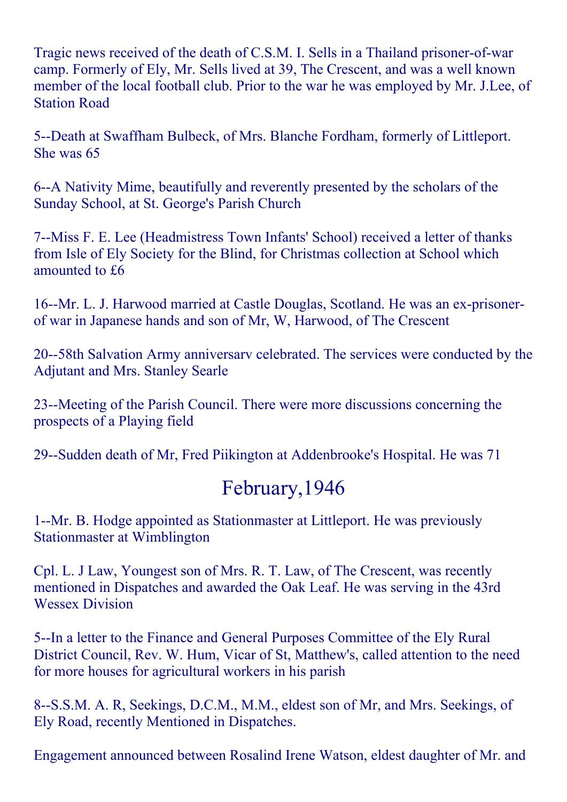Tragic news received of the death of C.S.M. I. Sells in a Thailand prisoner-of-war camp. Formerly of Ely, Mr. Sells lived at 39, The Crescent, and was a well known member of the local football club. Prior to the war he was employed by Mr. J.Lee, of Station Road

5--Death at Swaffham Bulbeck, of Mrs. Blanche Fordham, formerly of Littleport. She was 65

6--A Nativity Mime, beautifully and reverently presented by the scholars of the Sunday School, at St. George's Parish Church

7--Miss F. E. Lee (Headmistress Town Infants' School) received a letter of thanks from Isle of Ely Society for the Blind, for Christmas collection at School which amounted to £6

16--Mr. L. J. Harwood married at Castle Douglas, Scotland. He was an ex-prisonerof war in Japanese hands and son of Mr, W, Harwood, of The Crescent

20--58th Salvation Army anniversary celebrated. The services were conducted by the Adjutant and Mrs. Stanley Searle

23--Meeting of the Parish Council. There were more discussions concerning the prospects of a Playing field

29--Sudden death of Mr, Fred Piikington at Addenbrooke's Hospital. He was 71

### February,1946

1--Mr. B. Hodge appointed as Stationmaster at Littleport. He was previously Stationmaster at Wimblington

Cpl. L. J Law, Youngest son of Mrs. R. T. Law, of The Crescent, was recently mentioned in Dispatches and awarded the Oak Leaf. He was serving in the 43rd Wessex Division

5--In a letter to the Finance and General Purposes Committee of the Ely Rural District Council, Rev. W. Hum, Vicar of St, Matthew's, called attention to the need for more houses for agricultural workers in his parish

8--S.S.M. A. R, Seekings, D.C.M., M.M., eldest son of Mr, and Mrs. Seekings, of Ely Road, recently Mentioned in Dispatches.

Engagement announced between Rosalind Irene Watson, eldest daughter of Mr. and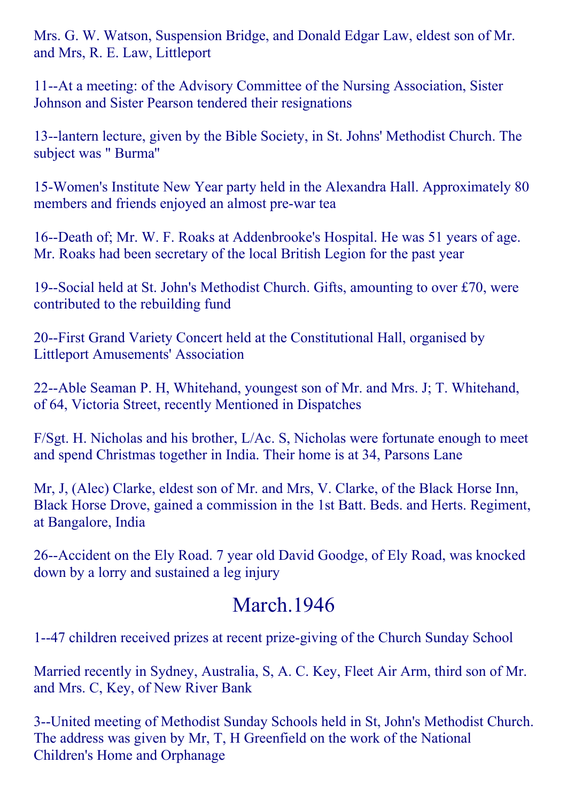Mrs. G. W. Watson, Suspension Bridge, and Donald Edgar Law, eldest son of Mr. and Mrs, R. E. Law, Littleport

11--At a meeting: of the Advisory Committee of the Nursing Association, Sister Johnson and Sister Pearson tendered their resignations

13--lantern lecture, given by the Bible Society, in St. Johns' Methodist Church. The subject was " Burma''

15Women's Institute New Year party held in the Alexandra Hall. Approximately 80 members and friends enjoyed an almost pre-war tea

16--Death of; Mr. W. F. Roaks at Addenbrooke's Hospital. He was 51 years of age. Mr. Roaks had been secretary of the local British Legion for the past year

19--Social held at St. John's Methodist Church. Gifts, amounting to over  $£70$ , were contributed to the rebuilding fund

20--First Grand Variety Concert held at the Constitutional Hall, organised by Littleport Amusements' Association

22--Able Seaman P. H, Whitehand, youngest son of Mr. and Mrs. J; T. Whitehand, of 64, Victoria Street, recently Mentioned in Dispatches

F/Sgt. H. Nicholas and his brother, L/Ac. S, Nicholas were fortunate enough to meet and spend Christmas together in India. Their home is at 34, Parsons Lane

Mr, J, (Alec) Clarke, eldest son of Mr. and Mrs, V. Clarke, of the Black Horse Inn, Black Horse Drove, gained a commission in the 1st Batt. Beds. and Herts. Regiment, at Bangalore, India

26--Accident on the Ely Road. 7 year old David Goodge, of Ely Road, was knocked down by a lorry and sustained a leg injury

#### March.1946

1--47 children received prizes at recent prize-giving of the Church Sunday School

Married recently in Sydney, Australia, S, A. C. Key, Fleet Air Arm, third son of Mr. and Mrs. C, Key, of New River Bank

3--United meeting of Methodist Sunday Schools held in St, John's Methodist Church. The address was given by Mr, T, H Greenfield on the work of the National Children's Home and Orphanage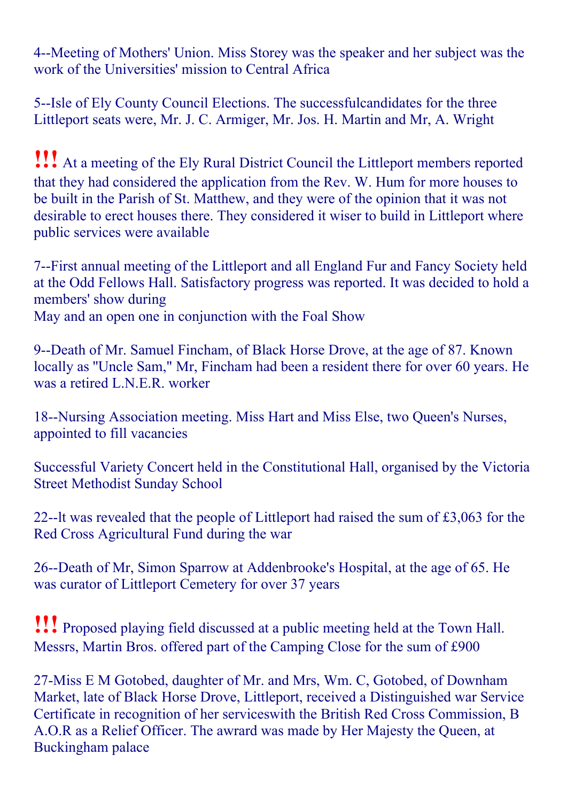4--Meeting of Mothers' Union. Miss Storey was the speaker and her subject was the work of the Universities' mission to Central Africa

5--Isle of Ely County Council Elections. The successfulcandidates for the three Littleport seats were, Mr. J. C. Armiger, Mr. Jos. H. Martin and Mr, A. Wright

!!! At <sup>a</sup> meeting of the Ely Rural District Council the Littleport members reported that they had considered the application from the Rev. W. Hum for more houses to be built in the Parish of St. Matthew, and they were of the opinion that it was not desirable to erect houses there. They considered it wiser to build in Littleport where public services were available

7--First annual meeting of the Littleport and all England Fur and Fancy Society held at the Odd Fellows Hall. Satisfactory progress was reported. It was decided to hold a members' show during

May and an open one in conjunction with the Foal Show

9--Death of Mr. Samuel Fincham, of Black Horse Drove, at the age of 87. Known locally as ''Uncle Sam," Mr, Fincham had been a resident there for over 60 years. He was a retired L.N.E.R. worker

18--Nursing Association meeting. Miss Hart and Miss Else, two Queen's Nurses, appointed to fill vacancies

Successful Variety Concert held in the Constitutional Hall, organised by the Victoria Street Methodist Sunday School

22--1t was revealed that the people of Littleport had raised the sum of  $£3,063$  for the Red Cross Agricultural Fund during the war

26--Death of Mr, Simon Sparrow at Addenbrooke's Hospital, at the age of 65. He was curator of Littleport Cemetery for over 37 years

!!! Proposed playing field discussed at <sup>a</sup> public meeting held at the Town Hall. Messrs, Martin Bros. offered part of the Camping Close for the sum of £900

27-Miss E M Gotobed, daughter of Mr. and Mrs, Wm. C, Gotobed, of Downham Market, late of Black Horse Drove, Littleport, received a Distinguished war Service Certificate in recognition of her serviceswith the British Red Cross Commission, B A.O.R as a Relief Officer. The awrard was made by Her Majesty the Queen, at Buckingham palace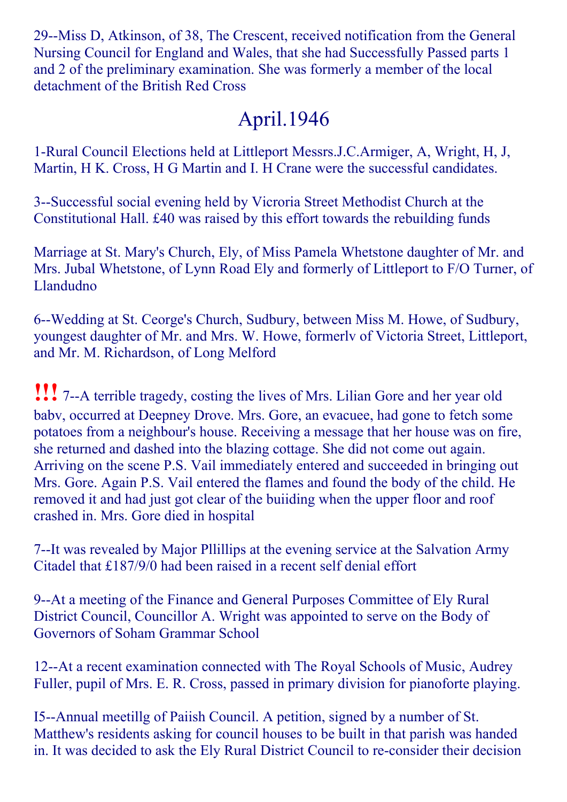29--Miss D, Atkinson, of 38, The Crescent, received notification from the General Nursing Council for England and Wales, that she had Successfully Passed parts 1 and 2 of the preliminary examination. She was formerly a member of the local detachment of the British Red Cross

# April.1946

1-Rural Council Elections held at Littleport Messrs.J.C.Armiger, A, Wright, H, J, Martin, H K. Cross, H G Martin and I. H Crane were the successful candidates.

3--Successful social evening held by Vicroria Street Methodist Church at the Constitutional Hall. £40 was raised by this effort towards the rebuilding funds

Marriage at St. Mary's Church, Ely, of Miss Pamela Whetstone daughter of Mr. and Mrs. Jubal Whetstone, of Lynn Road Ely and formerly of Littleport to F/O Turner, of Llandudno

6--Wedding at St. Ceorge's Church, Sudbury, between Miss M. Howe, of Sudbury, youngest daughter of Mr. and Mrs. W. Howe, formerlv of Victoria Street, Littleport, and Mr. M. Richardson, of Long Melford

**!!!** 7--A terrible tragedy, costing the lives of Mrs. Lilian Gore and her year old babv, occurred at Deepney Drove. Mrs. Gore, an evacuee, had gone to fetch some potatoes from a neighbour's house. Receiving a message that her house was on fire, she returned and dashed into the blazing cottage. She did not come out again. Arriving on the scene P.S. Vail immediately entered and succeeded in bringing out Mrs. Gore. Again P.S. Vail entered the flames and found the body of the child. He removed it and had just got clear of the buiiding when the upper floor and roof crashed in. Mrs. Gore died in hospital

7--It was revealed by Major Pllillips at the evening service at the Salvation Army Citadel that £187/9/0 had been raised in a recent self denial effort

9--At a meeting of the Finance and General Purposes Committee of Ely Rural District Council, Councillor A. Wright was appointed to serve on the Body of Governors of Soham Grammar School

12--At a recent examination connected with The Royal Schools of Music, Audrey Fuller, pupil of Mrs. E. R. Cross, passed in primary division for pianoforte playing.

I5--Annual meetillg of Paiish Council. A petition, signed by a number of St. Matthew's residents asking for council houses to be built in that parish was handed in. It was decided to ask the Ely Rural District Council to re-consider their decision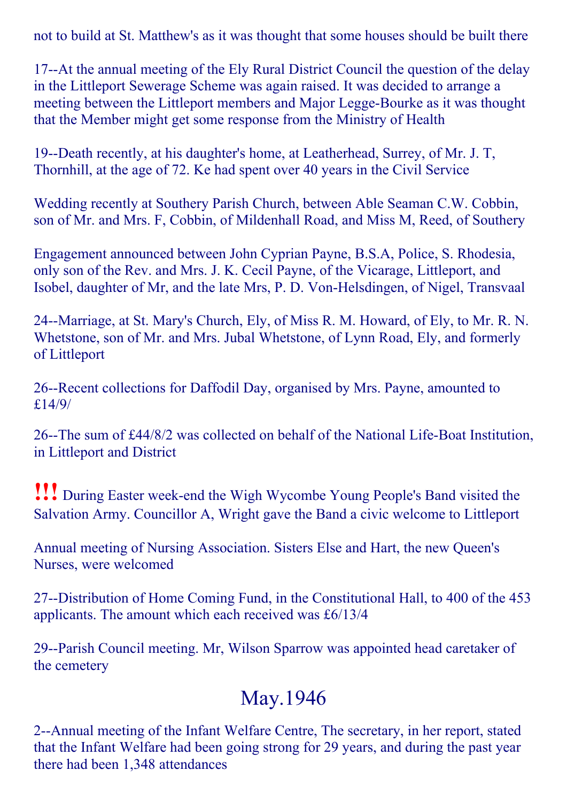not to build at St. Matthew's as it was thought that some houses should be built there

17--At the annual meeting of the Ely Rural District Council the question of the delay in the Littleport Sewerage Scheme was again raised. It was decided to arrange a meeting between the Littleport members and Major Legge-Bourke as it was thought that the Member might get some response from the Ministry of Health

19--Death recently, at his daughter's home, at Leatherhead, Surrey, of Mr. J. T. Thornhill, at the age of 72. Ke had spent over 40 years in the Civil Service

Wedding recently at Southery Parish Church, between Able Seaman C.W. Cobbin, son of Mr. and Mrs. F, Cobbin, of Mildenhall Road, and Miss M, Reed, of Southery

Engagement announced between John Cyprian Payne, B.S.A, Police, S. Rhodesia, only son of the Rev. and Mrs. J. K. Cecil Payne, of the Vicarage, Littleport, and Isobel, daughter of Mr, and the late Mrs, P. D. Von-Helsdingen, of Nigel, Transvaal

24--Marriage, at St. Mary's Church, Ely, of Miss R. M. Howard, of Ely, to Mr. R. N. Whetstone, son of Mr. and Mrs. Jubal Whetstone, of Lynn Road, Ely, and formerly of Littleport

26--Recent collections for Daffodil Day, organised by Mrs. Payne, amounted to £14/9/

26--The sum of  $\text{\pounds}44/8/2$  was collected on behalf of the National Life-Boat Institution, in Littleport and District

!!! During Easter week-end the Wigh Wycombe Young People's Band visited the Salvation Army. Councillor A, Wright gave the Band a civic welcome to Littleport

Annual meeting of Nursing Association. Sisters Else and Hart, the new Queen's Nurses, were welcomed

27--Distribution of Home Coming Fund, in the Constitutional Hall, to 400 of the 453 applicants. The amount which each received was £6/13/4

29--Parish Council meeting. Mr, Wilson Sparrow was appointed head caretaker of the cemetery

### May.1946

2--Annual meeting of the Infant Welfare Centre, The secretary, in her report, stated that the Infant Welfare had been going strong for 29 years, and during the past year there had been 1,348 attendances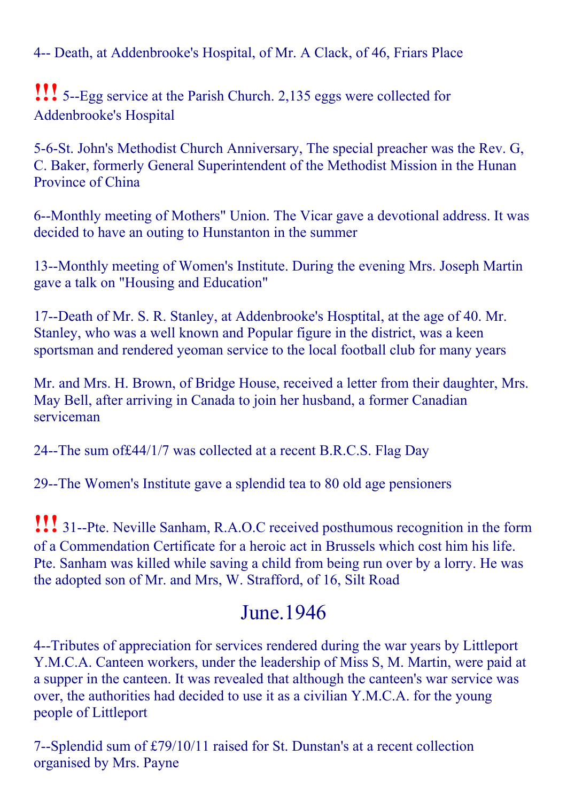4-- Death, at Addenbrooke's Hospital, of Mr. A Clack, of 46, Friars Place

**!!!** 5--Egg service at the Parish Church. 2,135 eggs were collected for Addenbrooke's Hospital

5-6-St. John's Methodist Church Anniversary, The special preacher was the Rev. G, C. Baker, formerly General Superintendent of the Methodist Mission in the Hunan Province of China

6--Monthly meeting of Mothers" Union. The Vicar gave a devotional address. It was decided to have an outing to Hunstanton in the summer

13--Monthly meeting of Women's Institute. During the evening Mrs. Joseph Martin gave a talk on "Housing and Education"

17--Death of Mr. S. R. Stanley, at Addenbrooke's Hosptital, at the age of 40. Mr. Stanley, who was a well known and Popular figure in the district, was a keen sportsman and rendered yeoman service to the local football club for many years

Mr. and Mrs. H. Brown, of Bridge House, received a letter from their daughter, Mrs. May Bell, after arriving in Canada to join her husband, a former Canadian serviceman

24--The sum of £44/1/7 was collected at a recent B.R.C.S. Flag Day

29--The Women's Institute gave a splendid tea to 80 old age pensioners

**!!!** 31--Pte. Neville Sanham, R.A.O.C received posthumous recognition in the form of a Commendation Certificate for a heroic act in Brussels which cost him his life. Pte. Sanham was killed while saving a child from being run over by a lorry. He was the adopted son of Mr. and Mrs, W. Strafford, of 16, Silt Road

### June.1946

4--Tributes of appreciation for services rendered during the war years by Littleport Y.M.C.A. Canteen workers, under the leadership of Miss S, M. Martin, were paid at a supper in the canteen. It was revealed that although the canteen's war service was over, the authorities had decided to use it as a civilian Y.M.C.A. for the young people of Littleport

7--Splendid sum of £79/10/11 raised for St. Dunstan's at a recent collection organised by Mrs. Payne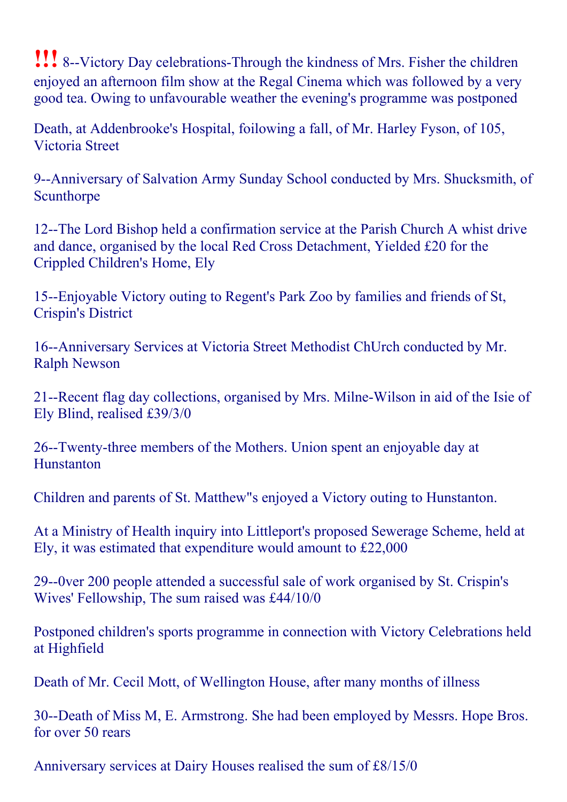!!! 8--Victory Day celebrations-Through the kindness of Mrs. Fisher the children enjoyed an afternoon film show at the Regal Cinema which was followed by a very good tea. Owing to unfavourable weather the evening's programme was postponed

Death, at Addenbrooke's Hospital, foilowing a fall, of Mr. Harley Fyson, of 105, Victoria Street

9--Anniversary of Salvation Army Sunday School conducted by Mrs. Shucksmith, of Scunthorpe

12--The Lord Bishop held a confirmation service at the Parish Church A whist drive and dance, organised by the local Red Cross Detachment, Yielded £20 for the Crippled Children's Home, Ely

15--Enjoyable Victory outing to Regent's Park Zoo by families and friends of St, Crispin's District

16--Anniversary Services at Victoria Street Methodist ChUrch conducted by Mr. Ralph Newson

21--Recent flag day collections, organised by Mrs. Milne-Wilson in aid of the Isie of Ely Blind, realised £39/3/0

26-Twenty-three members of the Mothers. Union spent an enjoyable day at **Hunstanton** 

Children and parents of St. Matthew"s enjoyed a Victory outing to Hunstanton.

At a Ministry of Health inquiry into Littleport's proposed Sewerage Scheme, held at Ely, it was estimated that expenditure would amount to £22,000

29--0ver 200 people attended a successful sale of work organised by St. Crispin's Wives' Fellowship, The sum raised was £44/10/0

Postponed children's sports programme in connection with Victory Celebrations held at Highfield

Death of Mr. Cecil Mott, of Wellington House, after many months of illness

30--Death of Miss M, E. Armstrong. She had been employed by Messrs. Hope Bros. for over 50 rears

Anniversary services at Dairy Houses realised the sum of £8/15/0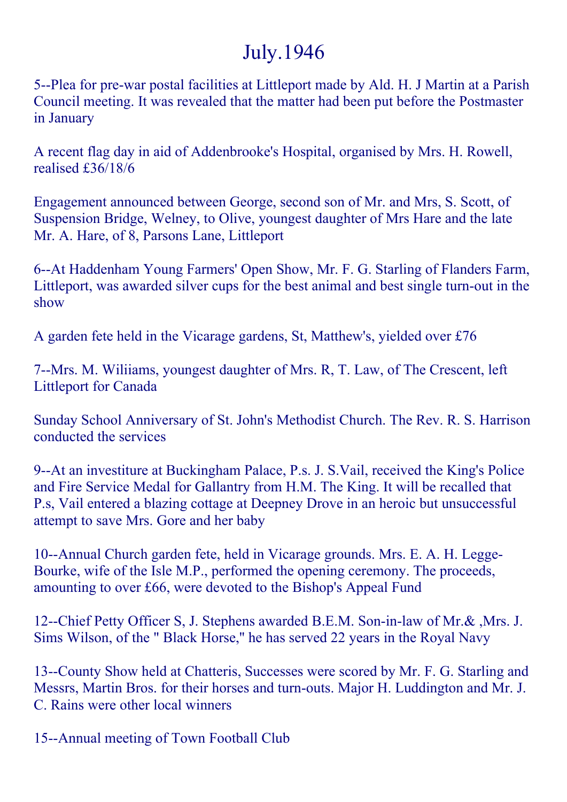# July.1946

5--Plea for pre-war postal facilities at Littleport made by Ald. H. J Martin at a Parish Council meeting. It was revealed that the matter had been put before the Postmaster in January

A recent flag day in aid of Addenbrooke's Hospital, organised by Mrs. H. Rowell, realised £36/18/6

Engagement announced between George, second son of Mr. and Mrs, S. Scott, of Suspension Bridge, Welney, to Olive, youngest daughter of Mrs Hare and the late Mr. A. Hare, of 8, Parsons Lane, Littleport

6--At Haddenham Young Farmers' Open Show, Mr. F. G. Starling of Flanders Farm, Littleport, was awarded silver cups for the best animal and best single turn-out in the show

A garden fete held in the Vicarage gardens, St, Matthew's, yielded over £76

7--Mrs. M. Wiliiams, youngest daughter of Mrs. R, T. Law, of The Crescent, left Littleport for Canada

Sunday School Anniversary of St. John's Methodist Church. The Rev. R. S. Harrison conducted the services

9--At an investiture at Buckingham Palace, P.s. J. S.Vail, received the King's Police and Fire Service Medal for Gallantry from H.M. The King. It will be recalled that P.s, Vail entered a blazing cottage at Deepney Drove in an heroic but unsuccessful attempt to save Mrs. Gore and her baby

10--Annual Church garden fete, held in Vicarage grounds. Mrs. E. A. H. Legge-Bourke, wife of the Isle M.P., performed the opening ceremony. The proceeds, amounting to over £66, were devoted to the Bishop's Appeal Fund

12--Chief Petty Officer S, J. Stephens awarded B.E.M. Son-in-law of Mr.&, Mrs. J. Sims Wilson, of the " Black Horse,'' he has served 22 years in the Royal Navy

13--County Show held at Chatteris, Successes were scored by Mr. F. G. Starling and Messrs, Martin Bros. for their horses and turn-outs. Major H. Luddington and Mr. J. C. Rains were other local winners

15--Annual meeting of Town Football Club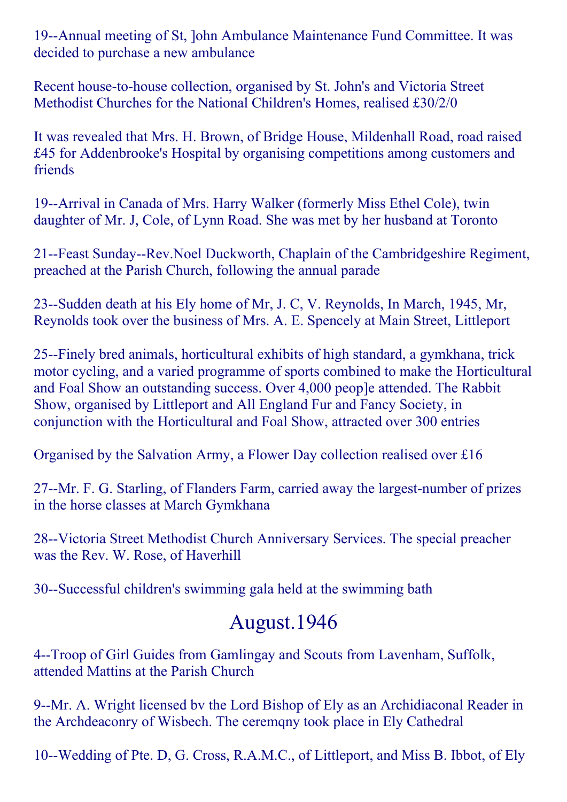19--Annual meeting of St, John Ambulance Maintenance Fund Committee. It was decided to purchase a new ambulance

Recent house-to-house collection, organised by St. John's and Victoria Street Methodist Churches for the National Children's Homes, realised £30/2/0

It was revealed that Mrs. H. Brown, of Bridge House, Mildenhall Road, road raised £45 for Addenbrooke's Hospital by organising competitions among customers and friends

19--Arrival in Canada of Mrs. Harry Walker (formerly Miss Ethel Cole), twin daughter of Mr. J, Cole, of Lynn Road. She was met by her husband at Toronto

21--Feast Sunday--Rev. Noel Duckworth, Chaplain of the Cambridgeshire Regiment, preached at the Parish Church, following the annual parade

23--Sudden death at his Ely home of Mr, J. C, V. Reynolds, In March, 1945, Mr, Reynolds took over the business of Mrs. A. E. Spencely at Main Street, Littleport

25-Finely bred animals, horticultural exhibits of high standard, a gymkhana, trick motor cycling, and a varied programme of sports combined to make the Horticultural and Foal Show an outstanding success. Over 4,000 peop]e attended. The Rabbit Show, organised by Littleport and All England Fur and Fancy Society, in conjunction with the Horticultural and Foal Show, attracted over 300 entries

Organised by the Salvation Army, a Flower Day collection realised over £16

27--Mr. F. G. Starling, of Flanders Farm, carried away the largest-number of prizes in the horse classes at March Gymkhana

28--Victoria Street Methodist Church Anniversary Services. The special preacher was the Rev. W. Rose, of Haverhill

30--Successful children's swimming gala held at the swimming bath

### August.1946

4--Troop of Girl Guides from Gamlingay and Scouts from Lavenham, Suffolk, attended Mattins at the Parish Church

9--Mr. A. Wright licensed by the Lord Bishop of Ely as an Archidiaconal Reader in the Archdeaconry of Wisbech. The ceremqny took place in Ely Cathedral

10--Wedding of Pte. D, G. Cross, R.A.M.C., of Littleport, and Miss B. Ibbot, of Ely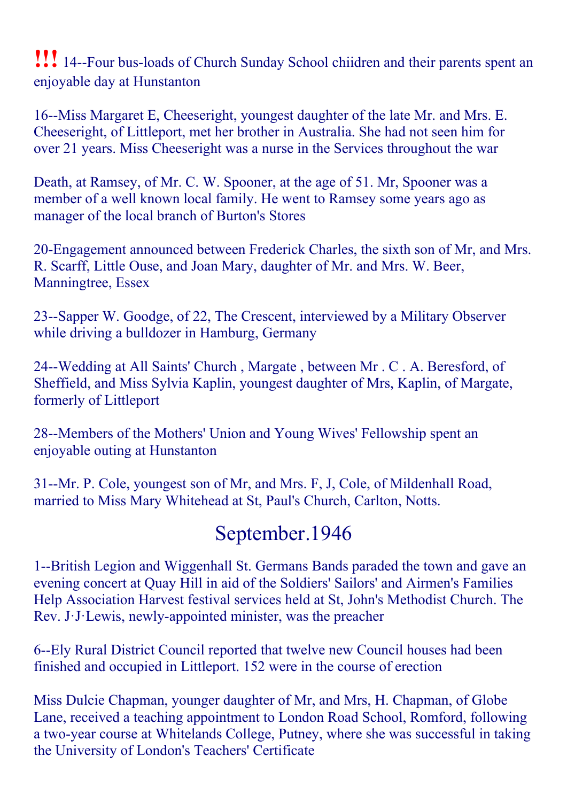**!!!** 14--Four bus-loads of Church Sunday School chiidren and their parents spent an enjoyable day at Hunstanton

16--Miss Margaret E, Cheeseright, youngest daughter of the late Mr. and Mrs. E. Cheeseright, of Littleport, met her brother in Australia. She had not seen him for over 21 years. Miss Cheeseright was a nurse in the Services throughout the war

Death, at Ramsey, of Mr. C. W. Spooner, at the age of 51. Mr, Spooner was a member of a well known local family. He went to Ramsey some years ago as manager of the local branch of Burton's Stores

20Engagement announced between Frederick Charles, the sixth son of Mr, and Mrs. R. Scarff, Little Ouse, and Joan Mary, daughter of Mr. and Mrs. W. Beer, Manningtree, Essex

23--Sapper W. Goodge, of 22, The Crescent, interviewed by a Military Observer while driving a bulldozer in Hamburg, Germany

24--Wedding at All Saints' Church, Margate, between Mr. C. A. Beresford, of Sheffield, and Miss Sylvia Kaplin, youngest daughter of Mrs, Kaplin, of Margate, formerly of Littleport

28--Members of the Mothers' Union and Young Wives' Fellowship spent an enjoyable outing at Hunstanton

31--Mr. P. Cole, youngest son of Mr, and Mrs. F, J, Cole, of Mildenhall Road, married to Miss Mary Whitehead at St, Paul's Church, Carlton, Notts.

### September.1946

1--British Legion and Wiggenhall St. Germans Bands paraded the town and gave an evening concert at Quay Hill in aid of the Soldiers' Sailors' and Airmen's Families Help Association Harvest festival services held at St, John's Methodist Church. The Rev. J. J. Lewis, newly-appointed minister, was the preacher

6--Ely Rural District Council reported that twelve new Council houses had been finished and occupied in Littleport. 152 were in the course of erection

Miss Dulcie Chapman, younger daughter of Mr, and Mrs, H. Chapman, of Globe Lane, received a teaching appointment to London Road School, Romford, following a two-year course at Whitelands College, Putney, where she was successful in taking the University of London's Teachers' Certificate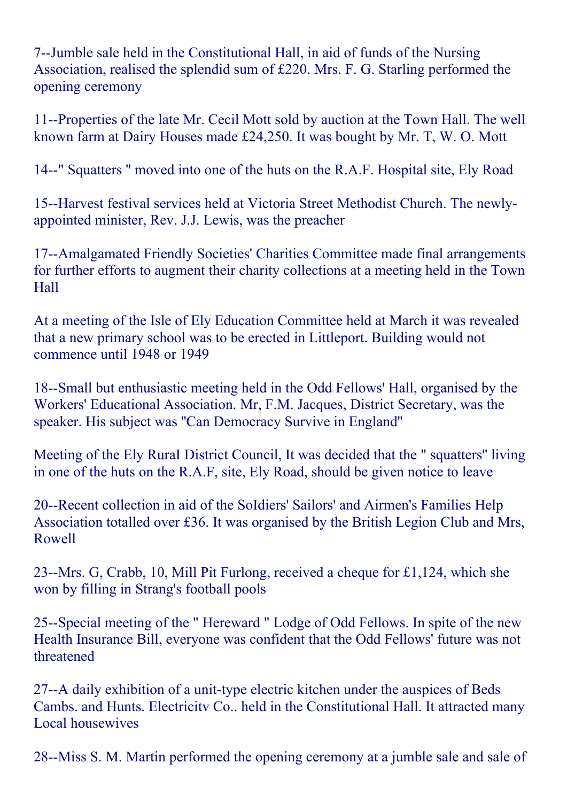7--Jumble sale held in the Constitutional Hall, in aid of funds of the Nursing Association, realised the splendid sum of £220. Mrs. F. G. Starling performed the opening ceremony

11--Properties of the late Mr. Cecil Mott sold by auction at the Town Hall. The well known farm at Dairy Houses made £24,250. It was bought by Mr. T, W. O. Mott

14--" Squatters " moved into one of the huts on the R.A.F. Hospital site, Ely Road

15--Harvest festival services held at Victoria Street Methodist Church. The newlyappointed minister, Rev. J.J. Lewis, was the preacher

17--Amalgamated Friendly Societies' Charities Committee made final arrangements for further efforts to augment their charity collections at a meeting held in the Town Hall

At a meeting of the Isle of Ely Education Committee held at March it was revealed that a new primary school was to be erected in Littleport. Building would not commence until 1948 or 1949

18--Small but enthusiastic meeting held in the Odd Fellows' Hall, organised by the Workers' Educational Association. Mr, F.M. Jacques, District Secretary, was the speaker. His subject was ''Can Democracy Survive in England''

Meeting of the Ely RuraI District Council, It was decided that the " squatters'' living in one of the huts on the R.A.F, site, Ely Road, should be given notice to leave

20--Recent collection in aid of the SoIdiers' Sailors' and Airmen's Families Help Association totalled over £36. It was organised by the British Legion Club and Mrs, Rowell

23--Mrs. G, Crabb, 10, Mill Pit Furlong, received a cheque for £1,124, which she won by filling in Strang's football pools

25--Special meeting of the " Hereward " Lodge of Odd Fellows. In spite of the new Health Insurance Bill, everyone was confident that the Odd Fellows' future was not threatened

27--A daily exhibition of a unit-type electric kitchen under the auspices of Beds Cambs. and Hunts. Electricitv Co.. held in the Constitutional Hall. It attracted many Local housewives

28--Miss S. M. Martin performed the opening ceremony at a jumble sale and sale of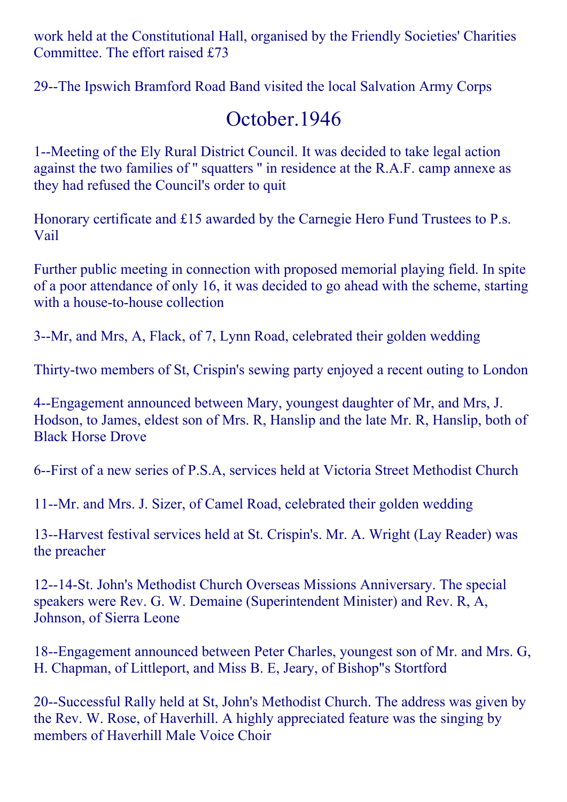work held at the Constitutional Hall, organised by the Friendly Societies' Charities Committee. The effort raised £73

29--The Ipswich Bramford Road Band visited the local Salvation Army Corps

### October.1946

1--Meeting of the Ely Rural District Council. It was decided to take legal action against the two families of '' squatters '' in residence at the R.A.F. camp annexe as they had refused the Council's order to quit

Honorary certificate and £15 awarded by the Carnegie Hero Fund Trustees to P.s. Vail

Further public meeting in connection with proposed memorial playing field. In spite of a poor attendance of only 16, it was decided to go ahead with the scheme, starting with a house-to-house collection

3--Mr, and Mrs, A, Flack, of 7, Lynn Road, celebrated their golden wedding

Thirty-two members of St, Crispin's sewing party enjoyed a recent outing to London

4--Engagement announced between Mary, youngest daughter of Mr, and Mrs, J. Hodson, to James, eldest son of Mrs. R, Hanslip and the late Mr. R, Hanslip, both of Black Horse Drove

6-First of a new series of P.S.A, services held at Victoria Street Methodist Church

11--Mr. and Mrs. J. Sizer, of Camel Road, celebrated their golden wedding

13--Harvest festival services held at St. Crispin's. Mr. A. Wright (Lay Reader) was the preacher

12--14-St. John's Methodist Church Overseas Missions Anniversary. The special speakers were Rev. G. W. Demaine (Superintendent Minister) and Rev. R, A, Johnson, of Sierra Leone

18--Engagement announced between Peter Charles, youngest son of Mr. and Mrs. G, H. Chapman, of Littleport, and Miss B. E, Jeary, of Bishop"s Stortford

20--Successful Rally held at St, John's Methodist Church. The address was given by the Rev. W. Rose, of Haverhill. A highly appreciated feature was the singing by members of Haverhill Male Voice Choir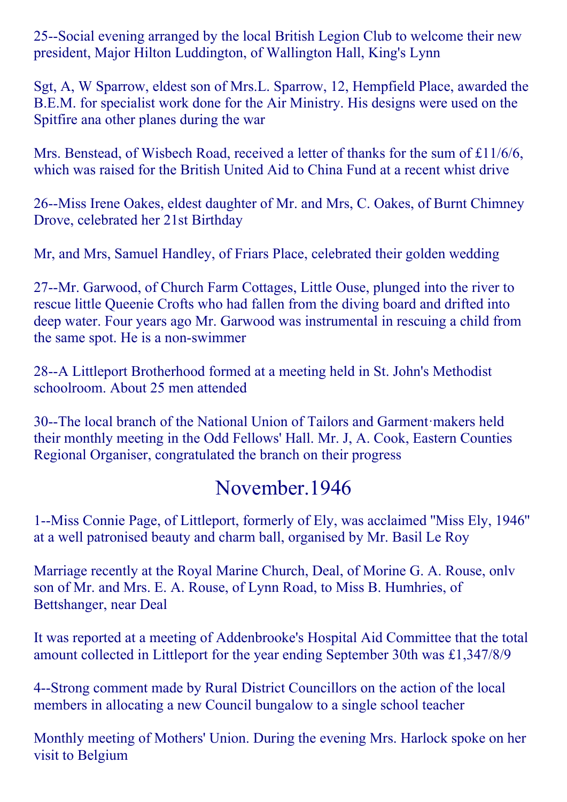25--Social evening arranged by the local British Legion Club to welcome their new president, Major Hilton Luddington, of Wallington Hall, King's Lynn

Sgt, A, W Sparrow, eldest son of Mrs.L. Sparrow, 12, Hempfield Place, awarded the B.E.M. for specialist work done for the Air Ministry. His designs were used on the Spitfire ana other planes during the war

Mrs. Benstead, of Wisbech Road, received a letter of thanks for the sum of £11/6/6, which was raised for the British United Aid to China Fund at a recent whist drive

26--Miss Irene Oakes, eldest daughter of Mr. and Mrs, C. Oakes, of Burnt Chimney Drove, celebrated her 21st Birthday

Mr, and Mrs, Samuel Handley, of Friars Place, celebrated their golden wedding

27--Mr. Garwood, of Church Farm Cottages, Little Ouse, plunged into the river to rescue little Queenie Crofts who had fallen from the diving board and drifted into deep water. Four years ago Mr. Garwood was instrumental in rescuing a child from the same spot. He is a non-swimmer

28--A Littleport Brotherhood formed at a meeting held in St. John's Methodist schoolroom. About 25 men attended

30--The local branch of the National Union of Tailors and Garment·makers held their monthly meeting in the Odd Fellows' Hall. Mr. J, A. Cook, Eastern Counties Regional Organiser, congratulated the branch on their progress

### November.1946

1--Miss Connie Page, of Littleport, formerly of Ely, was acclaimed "Miss Ely, 1946" at a well patronised beauty and charm ball, organised by Mr. Basil Le Roy

Marriage recently at the Royal Marine Church, Deal, of Morine G. A. Rouse, onlv son of Mr. and Mrs. E. A. Rouse, of Lynn Road, to Miss B. Humhries, of Bettshanger, near Deal

It was reported at a meeting of Addenbrooke's Hospital Aid Committee that the total amount collected in Littleport for the year ending September 30th was £1,347/8/9

4--Strong comment made by Rural District Councillors on the action of the local members in allocating a new Council bungalow to a single school teacher

Monthly meeting of Mothers' Union. During the evening Mrs. Harlock spoke on her visit to Belgium